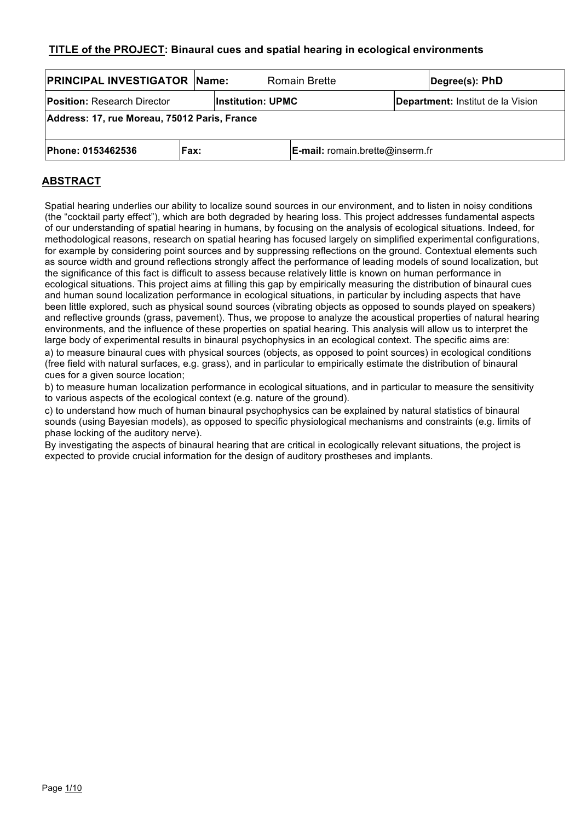# **TITLE of the PROJECT: Binaural cues and spatial hearing in ecological environments**

| <b>PRINCIPAL INVESTIGATOR Name:</b>          |       |                    | <b>Romain Brette</b>               |                                   | Degree(s): PhD |  |  |
|----------------------------------------------|-------|--------------------|------------------------------------|-----------------------------------|----------------|--|--|
| <b>Position:</b> Research Director           |       | lInstitution: UPMC |                                    | Department: Institut de la Vision |                |  |  |
| Address: 17, rue Moreau, 75012 Paris, France |       |                    |                                    |                                   |                |  |  |
| <b>Phone: 0153462536</b>                     | lFax: |                    | $E$ -mail: romain.brette@inserm.fr |                                   |                |  |  |

# **ABSTRACT**

Spatial hearing underlies our ability to localize sound sources in our environment, and to listen in noisy conditions (the "cocktail party effect"), which are both degraded by hearing loss. This project addresses fundamental aspects of our understanding of spatial hearing in humans, by focusing on the analysis of ecological situations. Indeed, for methodological reasons, research on spatial hearing has focused largely on simplified experimental configurations, for example by considering point sources and by suppressing reflections on the ground. Contextual elements such as source width and ground reflections strongly affect the performance of leading models of sound localization, but the significance of this fact is difficult to assess because relatively little is known on human performance in ecological situations. This project aims at filling this gap by empirically measuring the distribution of binaural cues and human sound localization performance in ecological situations, in particular by including aspects that have been little explored, such as physical sound sources (vibrating objects as opposed to sounds played on speakers) and reflective grounds (grass, pavement). Thus, we propose to analyze the acoustical properties of natural hearing environments, and the influence of these properties on spatial hearing. This analysis will allow us to interpret the large body of experimental results in binaural psychophysics in an ecological context. The specific aims are: a) to measure binaural cues with physical sources (objects, as opposed to point sources) in ecological conditions (free field with natural surfaces, e.g. grass), and in particular to empirically estimate the distribution of binaural cues for a given source location;

b) to measure human localization performance in ecological situations, and in particular to measure the sensitivity to various aspects of the ecological context (e.g. nature of the ground).

c) to understand how much of human binaural psychophysics can be explained by natural statistics of binaural sounds (using Bayesian models), as opposed to specific physiological mechanisms and constraints (e.g. limits of phase locking of the auditory nerve).

By investigating the aspects of binaural hearing that are critical in ecologically relevant situations, the project is expected to provide crucial information for the design of auditory prostheses and implants.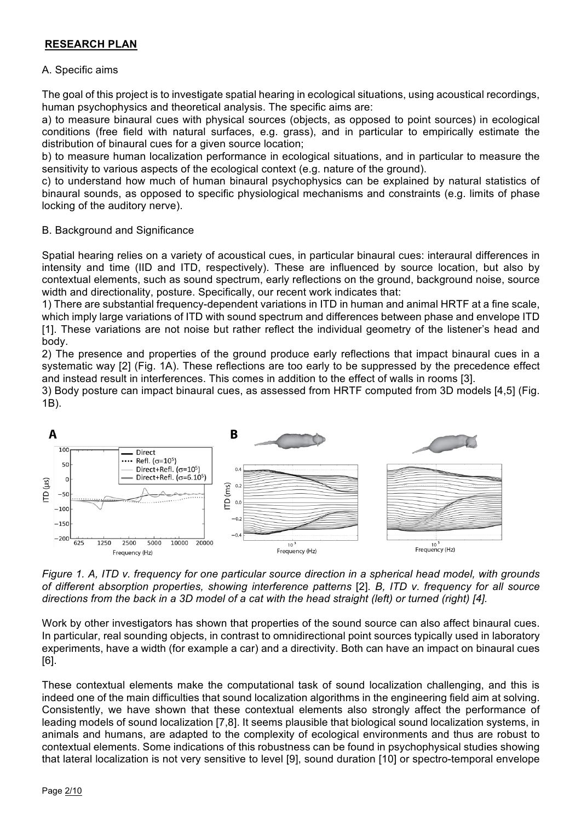# **RESEARCH PLAN**

# A. Specific aims

The goal of this project is to investigate spatial hearing in ecological situations, using acoustical recordings, human psychophysics and theoretical analysis. The specific aims are:

a) to measure binaural cues with physical sources (objects, as opposed to point sources) in ecological conditions (free field with natural surfaces, e.g. grass), and in particular to empirically estimate the distribution of binaural cues for a given source location;

b) to measure human localization performance in ecological situations, and in particular to measure the sensitivity to various aspects of the ecological context (e.g. nature of the ground).

c) to understand how much of human binaural psychophysics can be explained by natural statistics of binaural sounds, as opposed to specific physiological mechanisms and constraints (e.g. limits of phase locking of the auditory nerve).

# B. Background and Significance

Spatial hearing relies on a variety of acoustical cues, in particular binaural cues: interaural differences in intensity and time (IID and ITD, respectively). These are influenced by source location, but also by contextual elements, such as sound spectrum, early reflections on the ground, background noise, source width and directionality, posture. Specifically, our recent work indicates that:

1) There are substantial frequency-dependent variations in ITD in human and animal HRTF at a fine scale, which imply large variations of ITD with sound spectrum and differences between phase and envelope ITD [1]. These variations are not noise but rather reflect the individual geometry of the listener's head and body.

2) The presence and properties of the ground produce early reflections that impact binaural cues in a systematic way [2] (Fig. 1A). These reflections are too early to be suppressed by the precedence effect and instead result in interferences. This comes in addition to the effect of walls in rooms [3].

3) Body posture can impact binaural cues, as assessed from HRTF computed from 3D models [4,5] (Fig. 1B).



*Figure 1. A, ITD v. frequency for one particular source direction in a spherical head model, with grounds of different absorption properties, showing interference patterns* [2]*. B, ITD v. frequency for all source directions from the back in a 3D model of a cat with the head straight (left) or turned (right) [4].*

Work by other investigators has shown that properties of the sound source can also affect binaural cues. In particular, real sounding objects, in contrast to omnidirectional point sources typically used in laboratory experiments, have a width (for example a car) and a directivity. Both can have an impact on binaural cues [6].

These contextual elements make the computational task of sound localization challenging, and this is indeed one of the main difficulties that sound localization algorithms in the engineering field aim at solving. Consistently, we have shown that these contextual elements also strongly affect the performance of leading models of sound localization [7,8]. It seems plausible that biological sound localization systems, in animals and humans, are adapted to the complexity of ecological environments and thus are robust to contextual elements. Some indications of this robustness can be found in psychophysical studies showing that lateral localization is not very sensitive to level [9], sound duration [10] or spectro-temporal envelope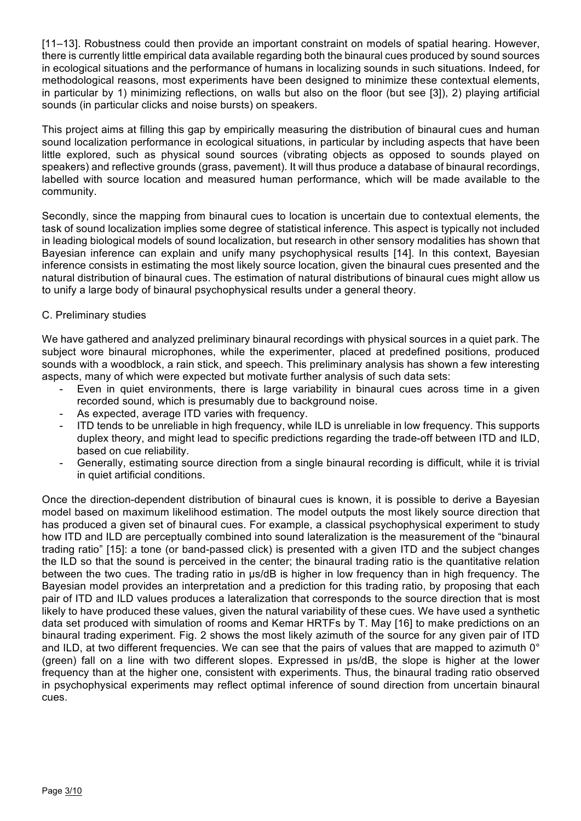[11–13]. Robustness could then provide an important constraint on models of spatial hearing. However, there is currently little empirical data available regarding both the binaural cues produced by sound sources in ecological situations and the performance of humans in localizing sounds in such situations. Indeed, for methodological reasons, most experiments have been designed to minimize these contextual elements, in particular by 1) minimizing reflections, on walls but also on the floor (but see [3]), 2) playing artificial sounds (in particular clicks and noise bursts) on speakers.

This project aims at filling this gap by empirically measuring the distribution of binaural cues and human sound localization performance in ecological situations, in particular by including aspects that have been little explored, such as physical sound sources (vibrating objects as opposed to sounds played on speakers) and reflective grounds (grass, pavement). It will thus produce a database of binaural recordings, labelled with source location and measured human performance, which will be made available to the community.

Secondly, since the mapping from binaural cues to location is uncertain due to contextual elements, the task of sound localization implies some degree of statistical inference. This aspect is typically not included in leading biological models of sound localization, but research in other sensory modalities has shown that Bayesian inference can explain and unify many psychophysical results [14]. In this context, Bayesian inference consists in estimating the most likely source location, given the binaural cues presented and the natural distribution of binaural cues. The estimation of natural distributions of binaural cues might allow us to unify a large body of binaural psychophysical results under a general theory.

# C. Preliminary studies

We have gathered and analyzed preliminary binaural recordings with physical sources in a quiet park. The subject wore binaural microphones, while the experimenter, placed at predefined positions, produced sounds with a woodblock, a rain stick, and speech. This preliminary analysis has shown a few interesting aspects, many of which were expected but motivate further analysis of such data sets:

- Even in quiet environments, there is large variability in binaural cues across time in a given recorded sound, which is presumably due to background noise.
- As expected, average ITD varies with frequency.
- ITD tends to be unreliable in high frequency, while ILD is unreliable in low frequency. This supports duplex theory, and might lead to specific predictions regarding the trade-off between ITD and ILD, based on cue reliability.
- Generally, estimating source direction from a single binaural recording is difficult, while it is trivial in quiet artificial conditions.

Once the direction-dependent distribution of binaural cues is known, it is possible to derive a Bayesian model based on maximum likelihood estimation. The model outputs the most likely source direction that has produced a given set of binaural cues. For example, a classical psychophysical experiment to study how ITD and ILD are perceptually combined into sound lateralization is the measurement of the "binaural trading ratio" [15]: a tone (or band-passed click) is presented with a given ITD and the subject changes the ILD so that the sound is perceived in the center; the binaural trading ratio is the quantitative relation between the two cues. The trading ratio in µs/dB is higher in low frequency than in high frequency. The Bayesian model provides an interpretation and a prediction for this trading ratio, by proposing that each pair of ITD and ILD values produces a lateralization that corresponds to the source direction that is most likely to have produced these values, given the natural variability of these cues. We have used a synthetic data set produced with simulation of rooms and Kemar HRTFs by T. May [16] to make predictions on an binaural trading experiment. Fig. 2 shows the most likely azimuth of the source for any given pair of ITD and ILD, at two different frequencies. We can see that the pairs of values that are mapped to azimuth 0° (green) fall on a line with two different slopes. Expressed in µs/dB, the slope is higher at the lower frequency than at the higher one, consistent with experiments. Thus, the binaural trading ratio observed in psychophysical experiments may reflect optimal inference of sound direction from uncertain binaural cues.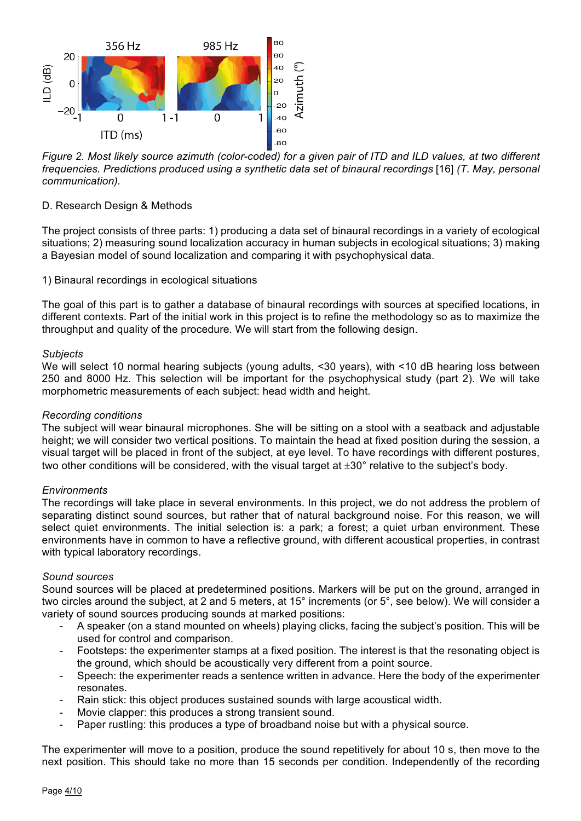

*Figure 2. Most likely source azimuth (color-coded) for a given pair of ITD and ILD values, at two different frequencies. Predictions produced using a synthetic data set of binaural recordings* [16] *(T. May, personal communication).*

## D. Research Design & Methods

The project consists of three parts: 1) producing a data set of binaural recordings in a variety of ecological situations; 2) measuring sound localization accuracy in human subjects in ecological situations; 3) making a Bayesian model of sound localization and comparing it with psychophysical data.

1) Binaural recordings in ecological situations

The goal of this part is to gather a database of binaural recordings with sources at specified locations, in different contexts. Part of the initial work in this project is to refine the methodology so as to maximize the throughput and quality of the procedure. We will start from the following design.

#### *Subjects*

We will select 10 normal hearing subjects (young adults, <30 years), with <10 dB hearing loss between 250 and 8000 Hz. This selection will be important for the psychophysical study (part 2). We will take morphometric measurements of each subject: head width and height.

#### *Recording conditions*

The subject will wear binaural microphones. She will be sitting on a stool with a seatback and adjustable height; we will consider two vertical positions. To maintain the head at fixed position during the session, a visual target will be placed in front of the subject, at eye level. To have recordings with different postures, two other conditions will be considered, with the visual target at  $\pm 30^{\circ}$  relative to the subject's body.

## *Environments*

The recordings will take place in several environments. In this project, we do not address the problem of separating distinct sound sources, but rather that of natural background noise. For this reason, we will select quiet environments. The initial selection is: a park; a forest; a quiet urban environment. These environments have in common to have a reflective ground, with different acoustical properties, in contrast with typical laboratory recordings.

#### *Sound sources*

Sound sources will be placed at predetermined positions. Markers will be put on the ground, arranged in two circles around the subject, at 2 and 5 meters, at 15° increments (or 5°, see below). We will consider a variety of sound sources producing sounds at marked positions:

- A speaker (on a stand mounted on wheels) playing clicks, facing the subject's position. This will be used for control and comparison.
- Footsteps: the experimenter stamps at a fixed position. The interest is that the resonating object is the ground, which should be acoustically very different from a point source.
- Speech: the experimenter reads a sentence written in advance. Here the body of the experimenter resonates.
- Rain stick: this object produces sustained sounds with large acoustical width.
- Movie clapper: this produces a strong transient sound.
- Paper rustling: this produces a type of broadband noise but with a physical source.

The experimenter will move to a position, produce the sound repetitively for about 10 s, then move to the next position. This should take no more than 15 seconds per condition. Independently of the recording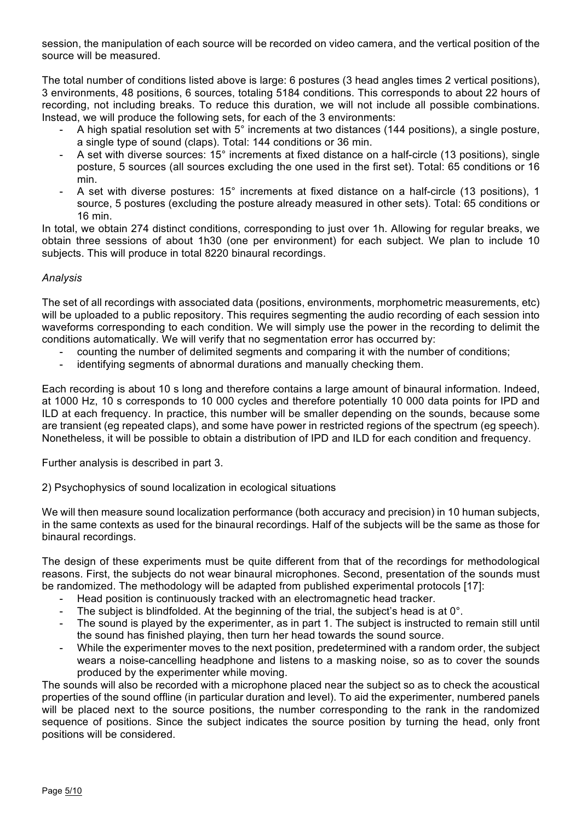session, the manipulation of each source will be recorded on video camera, and the vertical position of the source will be measured.

The total number of conditions listed above is large: 6 postures (3 head angles times 2 vertical positions), 3 environments, 48 positions, 6 sources, totaling 5184 conditions. This corresponds to about 22 hours of recording, not including breaks. To reduce this duration, we will not include all possible combinations. Instead, we will produce the following sets, for each of the 3 environments:

- A high spatial resolution set with 5° increments at two distances (144 positions), a single posture, a single type of sound (claps). Total: 144 conditions or 36 min.
- A set with diverse sources: 15° increments at fixed distance on a half-circle (13 positions), single posture, 5 sources (all sources excluding the one used in the first set). Total: 65 conditions or 16 min.
- A set with diverse postures: 15° increments at fixed distance on a half-circle (13 positions), 1 source, 5 postures (excluding the posture already measured in other sets). Total: 65 conditions or 16 min.

In total, we obtain 274 distinct conditions, corresponding to just over 1h. Allowing for regular breaks, we obtain three sessions of about 1h30 (one per environment) for each subject. We plan to include 10 subjects. This will produce in total 8220 binaural recordings.

# *Analysis*

The set of all recordings with associated data (positions, environments, morphometric measurements, etc) will be uploaded to a public repository. This requires segmenting the audio recording of each session into waveforms corresponding to each condition. We will simply use the power in the recording to delimit the conditions automatically. We will verify that no segmentation error has occurred by:

- counting the number of delimited segments and comparing it with the number of conditions;
- identifying segments of abnormal durations and manually checking them.

Each recording is about 10 s long and therefore contains a large amount of binaural information. Indeed, at 1000 Hz, 10 s corresponds to 10 000 cycles and therefore potentially 10 000 data points for IPD and ILD at each frequency. In practice, this number will be smaller depending on the sounds, because some are transient (eg repeated claps), and some have power in restricted regions of the spectrum (eg speech). Nonetheless, it will be possible to obtain a distribution of IPD and ILD for each condition and frequency.

Further analysis is described in part 3.

2) Psychophysics of sound localization in ecological situations

We will then measure sound localization performance (both accuracy and precision) in 10 human subjects, in the same contexts as used for the binaural recordings. Half of the subjects will be the same as those for binaural recordings.

The design of these experiments must be quite different from that of the recordings for methodological reasons. First, the subjects do not wear binaural microphones. Second, presentation of the sounds must be randomized. The methodology will be adapted from published experimental protocols [17]:

- Head position is continuously tracked with an electromagnetic head tracker.
- The subject is blindfolded. At the beginning of the trial, the subject's head is at  $0^\circ$ .
- The sound is played by the experimenter, as in part 1. The subject is instructed to remain still until the sound has finished playing, then turn her head towards the sound source.
- While the experimenter moves to the next position, predetermined with a random order, the subject wears a noise-cancelling headphone and listens to a masking noise, so as to cover the sounds produced by the experimenter while moving.

The sounds will also be recorded with a microphone placed near the subject so as to check the acoustical properties of the sound offline (in particular duration and level). To aid the experimenter, numbered panels will be placed next to the source positions, the number corresponding to the rank in the randomized sequence of positions. Since the subject indicates the source position by turning the head, only front positions will be considered.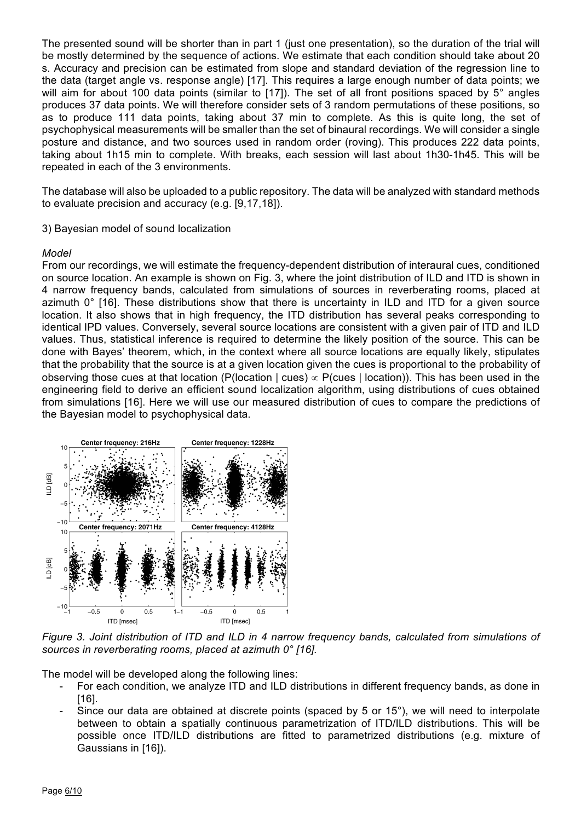The presented sound will be shorter than in part 1 (just one presentation), so the duration of the trial will be mostly determined by the sequence of actions. We estimate that each condition should take about 20 s. Accuracy and precision can be estimated from slope and standard deviation of the regression line to the data (target angle vs. response angle) [17]. This requires a large enough number of data points; we will aim for about 100 data points (similar to [17]). The set of all front positions spaced by 5° angles produces 37 data points. We will therefore consider sets of 3 random permutations of these positions, so as to produce 111 data points, taking about 37 min to complete. As this is quite long, the set of psychophysical measurements will be smaller than the set of binaural recordings. We will consider a single posture and distance, and two sources used in random order (roving). This produces 222 data points, taking about 1h15 min to complete. With breaks, each session will last about 1h30-1h45. This will be repeated in each of the 3 environments.

The database will also be uploaded to a public repository. The data will be analyzed with standard methods to evaluate precision and accuracy (e.g. [9,17,18]).

#### 3) Bayesian model of sound localization

#### *Model*

From our recordings, we will estimate the frequency-dependent distribution of interaural cues, conditioned on source location. An example is shown on Fig. 3, where the joint distribution of ILD and ITD is shown in 4 narrow frequency bands, calculated from simulations of sources in reverberating rooms, placed at azimuth 0° [16]. These distributions show that there is uncertainty in ILD and ITD for a given source location. It also shows that in high frequency, the ITD distribution has several peaks corresponding to identical IPD values. Conversely, several source locations are consistent with a given pair of ITD and ILD values. Thus, statistical inference is required to determine the likely position of the source. This can be done with Bayes' theorem, which, in the context where all source locations are equally likely, stipulates that the probability that the source is at a given location given the cues is proportional to the probability of observing those cues at that location (P(location | cues)  $\propto$  P(cues | location)). This has been used in the engineering field to derive an efficient sound localization algorithm, using distributions of cues obtained from simulations [16]. Here we will use our measured distribution of cues to compare the predictions of the Bayesian model to psychophysical data.



Figure 3. Joint distribution of ITD and ILD in 4 narrow frequency bands, calculated from simulations of sources in reverberating rooms, placed at azimuth 0° [16]. ourboo in rovorbordang roomo, pidood al dzimaln o

The model will be developed along the following lines:

- For each condition, we analyze ITD and ILD distributions in different frequency bands, as done in [16].  $[16]$ .
- Since our data are obtained at discrete points (spaced by 5 or 15°), we will need to interpolate between to obtain a spatially continuous parametrization of ITD/ILD distributions. This will be possible once ITD/ILD distributions are fitted to parametrized distributions (e.g. mixture of  $\overline{\text{Gaussians in [16]}}$ .  $t_{\text{max}}$  (KEMAR) was placed in the receiver (KEMAR head) was placed in the receiver (KEMAR head) was placed in the receiver (KEMAR head) was placed in the receiver (KEMAR head) was placed in the receiver (KEMAR head) was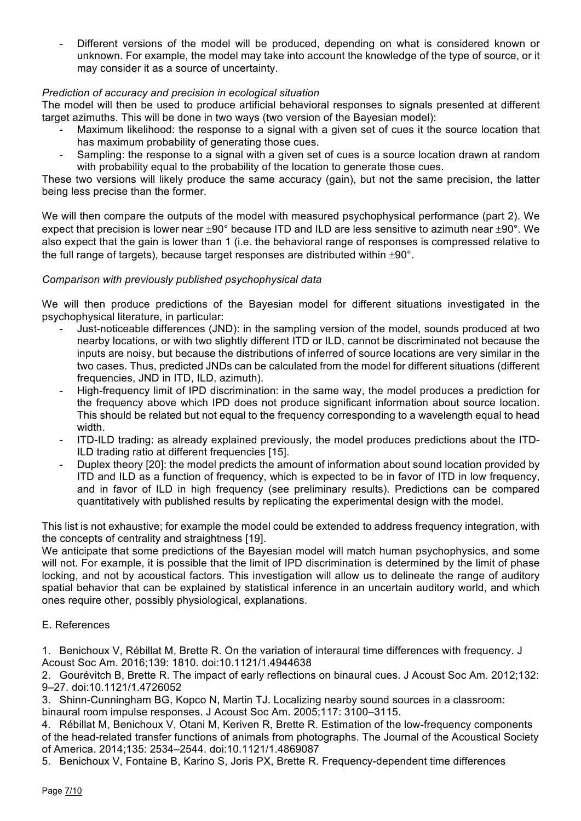Different versions of the model will be produced, depending on what is considered known or unknown. For example, the model may take into account the knowledge of the type of source, or it may consider it as a source of uncertainty.

# *Prediction of accuracy and precision in ecological situation*

The model will then be used to produce artificial behavioral responses to signals presented at different target azimuths. This will be done in two ways (two version of the Bayesian model):

- Maximum likelihood: the response to a signal with a given set of cues it the source location that has maximum probability of generating those cues.
- Sampling: the response to a signal with a given set of cues is a source location drawn at random with probability equal to the probability of the location to generate those cues.

These two versions will likely produce the same accuracy (gain), but not the same precision, the latter being less precise than the former.

We will then compare the outputs of the model with measured psychophysical performance (part 2). We expect that precision is lower near  $\pm 90^{\circ}$  because ITD and ILD are less sensitive to azimuth near  $\pm 90^{\circ}$ . We also expect that the gain is lower than 1 (i.e. the behavioral range of responses is compressed relative to the full range of targets), because target responses are distributed within  $\pm 90^\circ$ .

## *Comparison with previously published psychophysical data*

We will then produce predictions of the Bayesian model for different situations investigated in the psychophysical literature, in particular:

- Just-noticeable differences (JND): in the sampling version of the model, sounds produced at two nearby locations, or with two slightly different ITD or ILD, cannot be discriminated not because the inputs are noisy, but because the distributions of inferred of source locations are very similar in the two cases. Thus, predicted JNDs can be calculated from the model for different situations (different frequencies, JND in ITD, ILD, azimuth).
- High-frequency limit of IPD discrimination: in the same way, the model produces a prediction for the frequency above which IPD does not produce significant information about source location. This should be related but not equal to the frequency corresponding to a wavelength equal to head width.
- ITD-ILD trading: as already explained previously, the model produces predictions about the ITD-ILD trading ratio at different frequencies [15].
- Duplex theory [20]: the model predicts the amount of information about sound location provided by ITD and ILD as a function of frequency, which is expected to be in favor of ITD in low frequency, and in favor of ILD in high frequency (see preliminary results). Predictions can be compared quantitatively with published results by replicating the experimental design with the model.

This list is not exhaustive; for example the model could be extended to address frequency integration, with the concepts of centrality and straightness [19].

We anticipate that some predictions of the Bayesian model will match human psychophysics, and some will not. For example, it is possible that the limit of IPD discrimination is determined by the limit of phase locking, and not by acoustical factors. This investigation will allow us to delineate the range of auditory spatial behavior that can be explained by statistical inference in an uncertain auditory world, and which ones require other, possibly physiological, explanations.

## E. References

1. Benichoux V, Rébillat M, Brette R. On the variation of interaural time differences with frequency. J Acoust Soc Am. 2016;139: 1810. doi:10.1121/1.4944638

2. Gourévitch B, Brette R. The impact of early reflections on binaural cues. J Acoust Soc Am. 2012;132: 9–27. doi:10.1121/1.4726052

3. Shinn-Cunningham BG, Kopco N, Martin TJ. Localizing nearby sound sources in a classroom:

binaural room impulse responses. J Acoust Soc Am. 2005;117: 3100–3115.

4. Rébillat M, Benichoux V, Otani M, Keriven R, Brette R. Estimation of the low-frequency components of the head-related transfer functions of animals from photographs. The Journal of the Acoustical Society of America. 2014;135: 2534–2544. doi:10.1121/1.4869087

5. Benichoux V, Fontaine B, Karino S, Joris PX, Brette R. Frequency-dependent time differences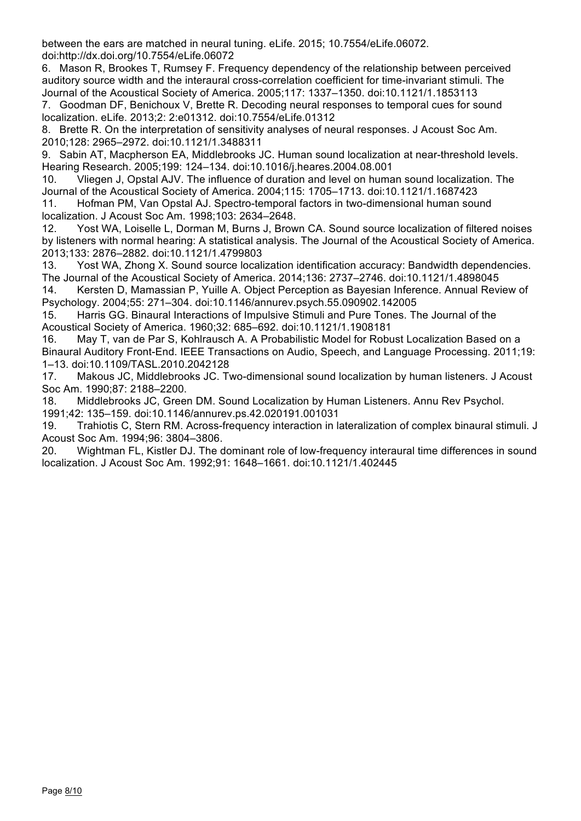between the ears are matched in neural tuning. eLife. 2015; 10.7554/eLife.06072. doi:http://dx.doi.org/10.7554/eLife.06072

6. Mason R, Brookes T, Rumsey F. Frequency dependency of the relationship between perceived auditory source width and the interaural cross-correlation coefficient for time-invariant stimuli. The Journal of the Acoustical Society of America. 2005;117: 1337–1350. doi:10.1121/1.1853113

7. Goodman DF, Benichoux V, Brette R. Decoding neural responses to temporal cues for sound localization. eLife. 2013;2: 2:e01312. doi:10.7554/eLife.01312

8. Brette R. On the interpretation of sensitivity analyses of neural responses. J Acoust Soc Am. 2010;128: 2965–2972. doi:10.1121/1.3488311

9. Sabin AT, Macpherson EA, Middlebrooks JC. Human sound localization at near-threshold levels. Hearing Research. 2005;199: 124–134. doi:10.1016/j.heares.2004.08.001

10. Vliegen J, Opstal AJV. The influence of duration and level on human sound localization. The Journal of the Acoustical Society of America. 2004;115: 1705–1713. doi:10.1121/1.1687423

11. Hofman PM, Van Opstal AJ. Spectro-temporal factors in two-dimensional human sound localization. J Acoust Soc Am. 1998;103: 2634–2648.

12. Yost WA, Loiselle L, Dorman M, Burns J, Brown CA. Sound source localization of filtered noises by listeners with normal hearing: A statistical analysis. The Journal of the Acoustical Society of America. 2013;133: 2876–2882. doi:10.1121/1.4799803

13. Yost WA, Zhong X. Sound source localization identification accuracy: Bandwidth dependencies. The Journal of the Acoustical Society of America. 2014;136: 2737–2746. doi:10.1121/1.4898045

14. Kersten D, Mamassian P, Yuille A. Object Perception as Bayesian Inference. Annual Review of Psychology. 2004;55: 271–304. doi:10.1146/annurev.psych.55.090902.142005

15. Harris GG. Binaural Interactions of Impulsive Stimuli and Pure Tones. The Journal of the Acoustical Society of America. 1960;32: 685–692. doi:10.1121/1.1908181

16. May T, van de Par S, Kohlrausch A. A Probabilistic Model for Robust Localization Based on a Binaural Auditory Front-End. IEEE Transactions on Audio, Speech, and Language Processing. 2011;19: 1–13. doi:10.1109/TASL.2010.2042128

17. Makous JC, Middlebrooks JC. Two-dimensional sound localization by human listeners. J Acoust Soc Am. 1990;87: 2188–2200.

18. Middlebrooks JC, Green DM. Sound Localization by Human Listeners. Annu Rev Psychol. 1991;42: 135–159. doi:10.1146/annurev.ps.42.020191.001031

19. Trahiotis C, Stern RM. Across-frequency interaction in lateralization of complex binaural stimuli. J Acoust Soc Am. 1994;96: 3804–3806.

20. Wightman FL, Kistler DJ. The dominant role of low-frequency interaural time differences in sound localization. J Acoust Soc Am. 1992;91: 1648–1661. doi:10.1121/1.402445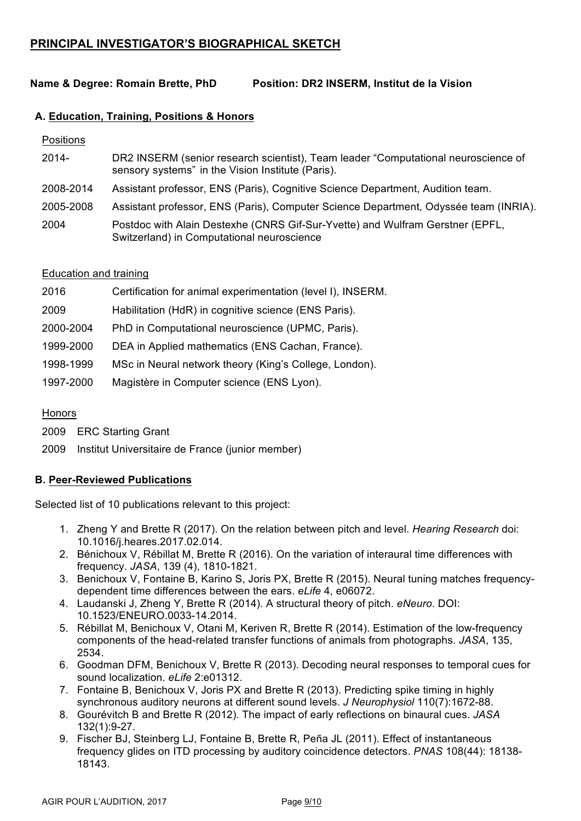# **PRINCIPAL INVESTIGATOR'S BIOGRAPHICAL SKETCH**

# **Name & Degree: Romain Brette, PhD Position: DR2 INSERM, Institut de la Vision**

## **A. Education, Training, Positions & Honors**

Positions

- 2014- DR2 INSERM (senior research scientist), Team leader "Computational neuroscience of sensory systems" in the Vision Institute (Paris).
- 2008-2014 Assistant professor, ENS (Paris), Cognitive Science Department, Audition team.
- 2005-2008 Assistant professor, ENS (Paris), Computer Science Department, Odyssée team (INRIA).

2004 Postdoc with Alain Destexhe (CNRS Gif-Sur-Yvette) and Wulfram Gerstner (EPFL, Switzerland) in Computational neuroscience

#### Education and training

| 2016      | Certification for animal experimentation (level I), INSERM. |
|-----------|-------------------------------------------------------------|
| 2009      | Habilitation (HdR) in cognitive science (ENS Paris).        |
| 2000-2004 | PhD in Computational neuroscience (UPMC, Paris).            |
| 1999-2000 | DEA in Applied mathematics (ENS Cachan, France).            |
| 1998-1999 | MSc in Neural network theory (King's College, London).      |
| 1997-2000 | Magistère in Computer science (ENS Lyon).                   |

### Honors

2009 ERC Starting Grant

2009 Institut Universitaire de France (junior member)

## **B. Peer-Reviewed Publications**

Selected list of 10 publications relevant to this project:

- 1. Zheng Y and Brette R (2017). On the relation between pitch and level. *Hearing Research* doi: 10.1016/j.heares.2017.02.014.
- 2. Bénichoux V, Rébillat M, Brette R (2016). On the variation of interaural time differences with frequency. *JASA*, 139 (4), 1810-1821.
- 3. Benichoux V, Fontaine B, Karino S, Joris PX, Brette R (2015). Neural tuning matches frequencydependent time differences between the ears. *eLife* 4, e06072.
- 4. Laudanski J, Zheng Y, Brette R (2014). A structural theory of pitch. *eNeuro*. DOI: 10.1523/ENEURO.0033-14.2014.
- 5. Rébillat M, Benichoux V, Otani M, Keriven R, Brette R (2014). Estimation of the low-frequency components of the head-related transfer functions of animals from photographs. *JASA*, 135, 2534.
- 6. Goodman DFM, Benichoux V, Brette R (2013). Decoding neural responses to temporal cues for sound localization. *eLife* 2:e01312.
- 7. Fontaine B, Benichoux V, Joris PX and Brette R (2013). Predicting spike timing in highly synchronous auditory neurons at different sound levels. *J Neurophysiol* 110(7):1672-88.
- 8. Gourévitch B and Brette R (2012). The impact of early reflections on binaural cues. *JASA* 132(1):9-27.
- 9. Fischer BJ, Steinberg LJ, Fontaine B, Brette R, Peña JL (2011). Effect of instantaneous frequency glides on ITD processing by auditory coincidence detectors. *PNAS* 108(44): 18138- 18143.